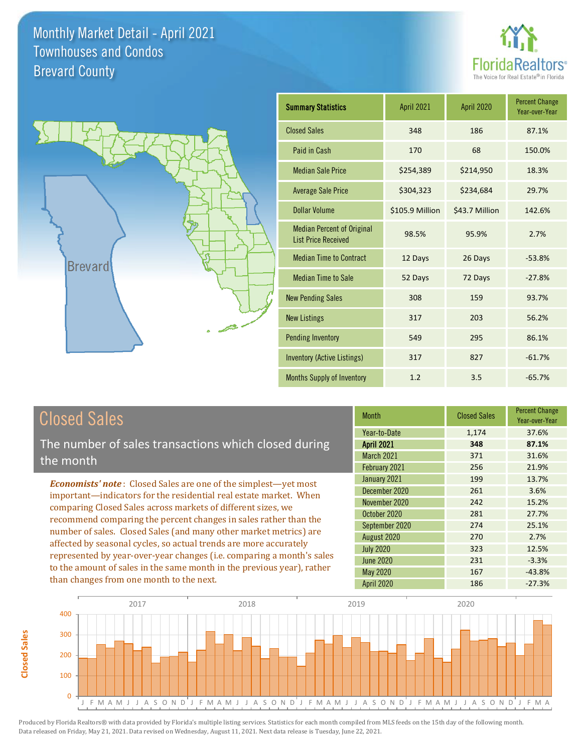



| <b>Summary Statistics</b>                                       | April 2021      | April 2020     | <b>Percent Change</b><br>Year-over-Year |
|-----------------------------------------------------------------|-----------------|----------------|-----------------------------------------|
| <b>Closed Sales</b>                                             | 348             | 186            | 87.1%                                   |
| Paid in Cash                                                    | 170             | 68             | 150.0%                                  |
| <b>Median Sale Price</b>                                        | \$254,389       | \$214,950      | 18.3%                                   |
| <b>Average Sale Price</b>                                       | \$304,323       | \$234,684      | 29.7%                                   |
| <b>Dollar Volume</b>                                            | \$105.9 Million | \$43.7 Million | 142.6%                                  |
| <b>Median Percent of Original</b><br><b>List Price Received</b> | 98.5%           | 95.9%          | 2.7%                                    |
| <b>Median Time to Contract</b>                                  | 12 Days         | 26 Days        | $-53.8%$                                |
| <b>Median Time to Sale</b>                                      | 52 Days         | 72 Days        | $-27.8%$                                |
| <b>New Pending Sales</b>                                        | 308             | 159            | 93.7%                                   |
| <b>New Listings</b>                                             | 317             | 203            | 56.2%                                   |
| <b>Pending Inventory</b>                                        | 549             | 295            | 86.1%                                   |
| <b>Inventory (Active Listings)</b>                              | 317             | 827            | $-61.7%$                                |
| Months Supply of Inventory                                      | 1.2             | 3.5            | $-65.7%$                                |

## Closed Sales

The number of sales transactions which closed during the month

*Economists' note* : Closed Sales are one of the simplest—yet most important—indicators for the residential real estate market. When comparing Closed Sales across markets of different sizes, we recommend comparing the percent changes in sales rather than the number of sales. Closed Sales (and many other market metrics) are affected by seasonal cycles, so actual trends are more accurately represented by year-over-year changes (i.e. comparing a month's sales to the amount of sales in the same month in the previous year), rather than changes from one month to the next.

| <b>Month</b>      | <b>Closed Sales</b> | <b>Percent Change</b><br>Year-over-Year |
|-------------------|---------------------|-----------------------------------------|
| Year-to-Date      | 1,174               | 37.6%                                   |
| <b>April 2021</b> | 348                 | 87.1%                                   |
| <b>March 2021</b> | 371                 | 31.6%                                   |
| February 2021     | 256                 | 21.9%                                   |
| January 2021      | 199                 | 13.7%                                   |
| December 2020     | 261                 | 3.6%                                    |
| November 2020     | 242                 | 15.2%                                   |
| October 2020      | 281                 | 27.7%                                   |
| September 2020    | 274                 | 25.1%                                   |
| August 2020       | 270                 | 2.7%                                    |
| <b>July 2020</b>  | 323                 | 12.5%                                   |
| <b>June 2020</b>  | 231                 | $-3.3%$                                 |
| May 2020          | 167                 | $-43.8%$                                |
| April 2020        | 186                 | $-27.3%$                                |

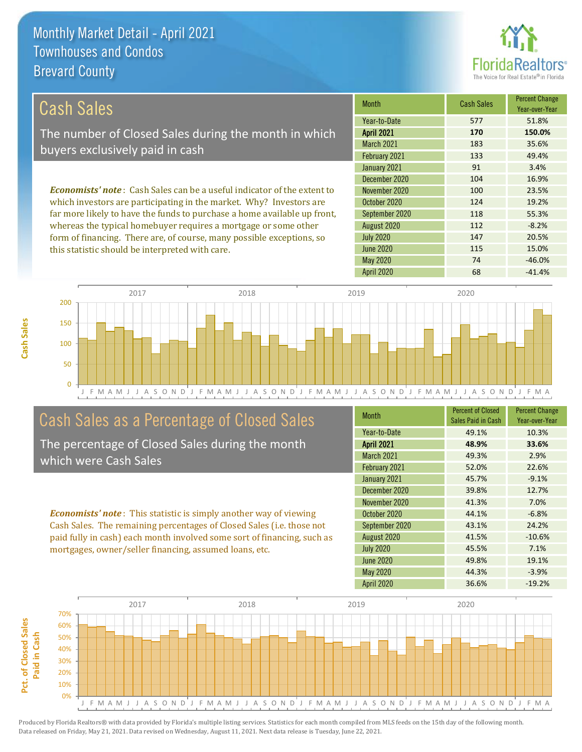

147 20.5%

115 15.0%

| Cash Sales                                                                     | <b>Month</b>      | <b>Cash Sales</b> | <b>Percent Change</b><br>Year-over-Year |
|--------------------------------------------------------------------------------|-------------------|-------------------|-----------------------------------------|
|                                                                                | Year-to-Date      | 577               | 51.8%                                   |
| The number of Closed Sales during the month in which                           | <b>April 2021</b> | 170               | 150.0%                                  |
| buyers exclusively paid in cash                                                | March 2021        | 183               | 35.6%                                   |
|                                                                                | February 2021     | 133               | 49.4%                                   |
|                                                                                | January 2021      | 91                | 3.4%                                    |
|                                                                                | December 2020     | 104               | 16.9%                                   |
| <b>Economists' note:</b> Cash Sales can be a useful indicator of the extent to | November 2020     | 100               | 23.5%                                   |
| which investors are participating in the market. Why? Investors are            | October 2020      | 124               | 19.2%                                   |
| far more likely to have the funds to purchase a home available up front,       | September 2020    | 118               | 55.3%                                   |
| whereas the typical homebuyer requires a mortgage or some other                | August 2020       | 112               | $-8.2%$                                 |

June 2020

July 2020



### Cash Sales as a Percentage of Closed Sales

form of financing. There are, of course, many possible exceptions, so

this statistic should be interpreted with care.

The percentage of Closed Sales during the month which were Cash Sales

*Economists' note* : This statistic is simply another way of viewing Cash Sales. The remaining percentages of Closed Sales (i.e. those not paid fully in cash) each month involved some sort of financing, such as mortgages, owner/seller financing, assumed loans, etc.

| <b>Month</b>      | <b>Percent of Closed</b><br>Sales Paid in Cash | <b>Percent Change</b><br>Year-over-Year |
|-------------------|------------------------------------------------|-----------------------------------------|
| Year-to-Date      | 49.1%                                          | 10.3%                                   |
| <b>April 2021</b> | 48.9%                                          | 33.6%                                   |
| March 2021        | 49.3%                                          | 2.9%                                    |
| February 2021     | 52.0%                                          | 22.6%                                   |
| January 2021      | 45.7%                                          | $-9.1%$                                 |
| December 2020     | 39.8%                                          | 12.7%                                   |
| November 2020     | 41.3%                                          | 7.0%                                    |
| October 2020      | 44.1%                                          | $-6.8%$                                 |
| September 2020    | 43.1%                                          | 24.2%                                   |
| August 2020       | 41.5%                                          | $-10.6%$                                |
| <b>July 2020</b>  | 45.5%                                          | 7.1%                                    |
| <b>June 2020</b>  | 49.8%                                          | 19.1%                                   |
| <b>May 2020</b>   | 44.3%                                          | $-3.9%$                                 |
| <b>April 2020</b> | 36.6%                                          | $-19.2%$                                |

May 2020 74 -46.0%

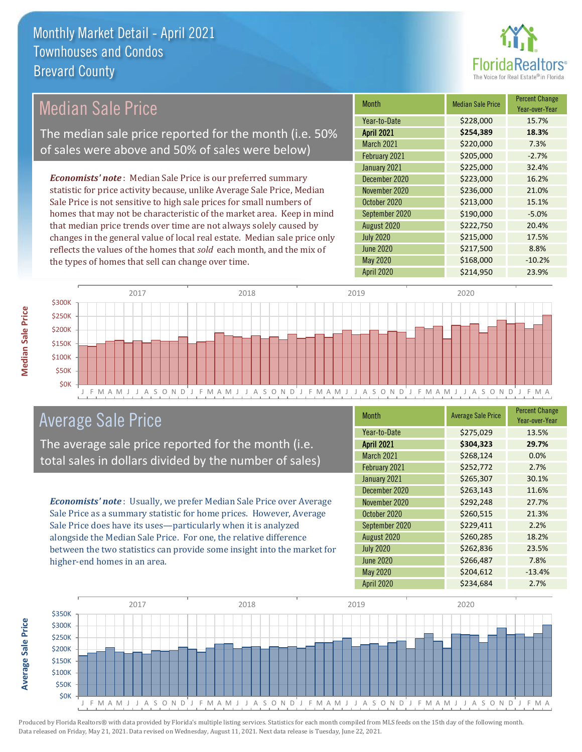

#### Month Median Sale Price Percent Change Year-over-Year April 2021 **\$254,389 18.3%** Year-to-Date \$228,000 15.7% September 2020 \$190,000 -5.0% March 2021 **\$220,000** 7.3% February 2021  $\bigcup$  \$205,000 -2.7% November 2020 **\$236,000** \$236,000 21.0% October 2020 **\$213,000** \$2013,000 15.1% January 2021 **\$225,000** 32.4% December 2020 \$223,000 16.2% August 2020 \$222,750 20.4% July 2020 \$215,000 17.5% June 2020 **\$217,500** \$207,500 May 2020 \$168,000 -10.2% April 2020 \$214,950 23.9% *Economists' note* : Median Sale Price is our preferred summary statistic for price activity because, unlike Average Sale Price, Median Sale Price is not sensitive to high sale prices for small numbers of homes that may not be characteristic of the market area. Keep in mind that median price trends over time are not always solely caused by changes in the general value of local real estate. Median sale price only reflects the values of the homes that *sold* each month, and the mix of the types of homes that sell can change over time. Median Sale Price The median sale price reported for the month (i.e. 50% of sales were above and 50% of sales were below)



### Average Sale Price

The average sale price reported for the month (i.e. total sales in dollars divided by the number of sales)

*Economists' note* : Usually, we prefer Median Sale Price over Average Sale Price as a summary statistic for home prices. However, Average Sale Price does have its uses—particularly when it is analyzed alongside the Median Sale Price. For one, the relative difference between the two statistics can provide some insight into the market for higher-end homes in an area.

| <b>Month</b>      | <b>Average Sale Price</b> | <b>Percent Change</b><br>Year-over-Year |
|-------------------|---------------------------|-----------------------------------------|
| Year-to-Date      | \$275,029                 | 13.5%                                   |
| <b>April 2021</b> | \$304,323                 | 29.7%                                   |
| March 2021        | \$268,124                 | 0.0%                                    |
| February 2021     | \$252,772                 | 2.7%                                    |
| January 2021      | \$265,307                 | 30.1%                                   |
| December 2020     | \$263,143                 | 11.6%                                   |
| November 2020     | \$292,248                 | 27.7%                                   |
| October 2020      | \$260,515                 | 21.3%                                   |
| September 2020    | \$229,411                 | 2.2%                                    |
| August 2020       | \$260,285                 | 18.2%                                   |
| <b>July 2020</b>  | \$262,836                 | 23.5%                                   |
| <b>June 2020</b>  | \$266,487                 | 7.8%                                    |
| <b>May 2020</b>   | \$204,612                 | $-13.4%$                                |
| April 2020        | \$234,684                 | 2.7%                                    |

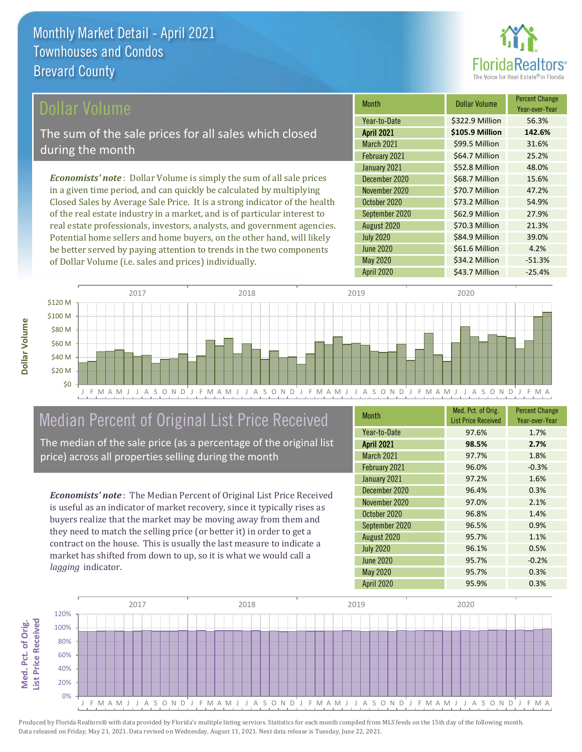

#### ollar Volume

The sum of the sale prices for all sales which closed during the month

*Economists' note* : Dollar Volume is simply the sum of all sale prices in a given time period, and can quickly be calculated by multiplying Closed Sales by Average Sale Price. It is a strong indicator of the health of the real estate industry in a market, and is of particular interest to real estate professionals, investors, analysts, and government agencies. Potential home sellers and home buyers, on the other hand, will likely be better served by paying attention to trends in the two components of Dollar Volume (i.e. sales and prices) individually.

| Month             | Dollar Volume   | <b>Percent Change</b><br>Year-over-Year |
|-------------------|-----------------|-----------------------------------------|
| Year-to-Date      | \$322.9 Million | 56.3%                                   |
| <b>April 2021</b> | \$105.9 Million | 142.6%                                  |
| <b>March 2021</b> | \$99.5 Million  | 31.6%                                   |
| February 2021     | \$64.7 Million  | 25.2%                                   |
| January 2021      | \$52.8 Million  | 48.0%                                   |
| December 2020     | \$68.7 Million  | 15.6%                                   |
| November 2020     | \$70.7 Million  | 47.2%                                   |
| October 2020      | \$73.2 Million  | 54.9%                                   |
| September 2020    | \$62.9 Million  | 27.9%                                   |
| August 2020       | \$70.3 Million  | 21.3%                                   |
| <b>July 2020</b>  | \$84.9 Million  | 39.0%                                   |
| <b>June 2020</b>  | \$61.6 Million  | 4.2%                                    |
| May 2020          | \$34.2 Million  | $-51.3%$                                |
| April 2020        | \$43.7 Million  | $-25.4%$                                |



#### Median Percent of Original List Price Received

The median of the sale price (as a percentage of the original list price) across all properties selling during the month

*Economists' note* : The Median Percent of Original List Price Received is useful as an indicator of market recovery, since it typically rises as buyers realize that the market may be moving away from them and they need to match the selling price (or better it) in order to get a contract on the house. This is usually the last measure to indicate a market has shifted from down to up, so it is what we would call a *lagging* indicator.

| <b>Month</b>      | Med. Pct. of Orig.<br><b>List Price Received</b> | <b>Percent Change</b><br>Year-over-Year |
|-------------------|--------------------------------------------------|-----------------------------------------|
| Year-to-Date      | 97.6%                                            | 1.7%                                    |
| <b>April 2021</b> | 98.5%                                            | 2.7%                                    |
| March 2021        | 97.7%                                            | 1.8%                                    |
| February 2021     | 96.0%                                            | $-0.3%$                                 |
| January 2021      | 97.2%                                            | 1.6%                                    |
| December 2020     | 96.4%                                            | 0.3%                                    |
| November 2020     | 97.0%                                            | 2.1%                                    |
| October 2020      | 96.8%                                            | 1.4%                                    |
| September 2020    | 96.5%                                            | 0.9%                                    |
| August 2020       | 95.7%                                            | 1.1%                                    |
| <b>July 2020</b>  | 96.1%                                            | 0.5%                                    |
| <b>June 2020</b>  | 95.7%                                            | $-0.2%$                                 |
| May 2020          | 95.7%                                            | 0.3%                                    |
| <b>April 2020</b> | 95.9%                                            | 0.3%                                    |

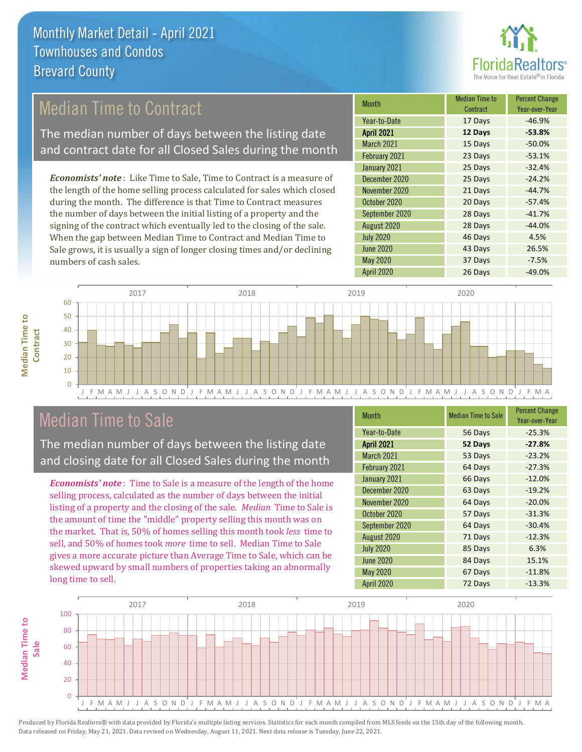

### Median Time to Contract

The median number of days between the listing date and contract date for all Closed Sales during the month

*Economists' note* : Like Time to Sale, Time to Contract is a measure of the length of the home selling process calculated for sales which closed during the month. The difference is that Time to Contract measures the number of days between the initial listing of a property and the signing of the contract which eventually led to the closing of the sale. When the gap between Median Time to Contract and Median Time to Sale grows, it is usually a sign of longer closing times and/or declining numbers of cash sales.

| Month             | <b>Median Time to</b><br>Contract | <b>Percent Change</b><br>Year-over-Year |
|-------------------|-----------------------------------|-----------------------------------------|
| Year-to-Date      | 17 Days                           | $-46.9%$                                |
| <b>April 2021</b> | 12 Days                           | $-53.8%$                                |
| March 2021        | 15 Days                           | $-50.0%$                                |
| February 2021     | 23 Days                           | $-53.1%$                                |
| January 2021      | 25 Days                           | $-32.4%$                                |
| December 2020     | 25 Days                           | $-24.2%$                                |
| November 2020     | 21 Days                           | $-44.7%$                                |
| October 2020      | 20 Days                           | $-57.4%$                                |
| September 2020    | 28 Days                           | $-41.7%$                                |
| August 2020       | 28 Days                           | $-44.0%$                                |
| <b>July 2020</b>  | 46 Days                           | 4.5%                                    |
| <b>June 2020</b>  | 43 Days                           | 26.5%                                   |
| May 2020          | 37 Days                           | $-7.5%$                                 |
| <b>April 2020</b> | 26 Days                           | $-49.0%$                                |



#### Median Time to Sale

**Median Time to** 

**Median Time to** 

The median number of days between the listing date and closing date for all Closed Sales during the month

*Economists' note* : Time to Sale is a measure of the length of the home selling process, calculated as the number of days between the initial listing of a property and the closing of the sale. *Median* Time to Sale is the amount of time the "middle" property selling this month was on the market. That is, 50% of homes selling this month took *less* time to sell, and 50% of homes took *more* time to sell. Median Time to Sale gives a more accurate picture than Average Time to Sale, which can be skewed upward by small numbers of properties taking an abnormally long time to sell.

| <b>Month</b>      | <b>Median Time to Sale</b> | <b>Percent Change</b><br>Year-over-Year |
|-------------------|----------------------------|-----------------------------------------|
| Year-to-Date      | 56 Days                    | $-25.3%$                                |
| <b>April 2021</b> | 52 Days                    | $-27.8%$                                |
| March 2021        | 53 Days                    | $-23.2%$                                |
| February 2021     | 64 Days                    | $-27.3%$                                |
| January 2021      | 66 Days                    | $-12.0%$                                |
| December 2020     | 63 Days                    | $-19.2%$                                |
| November 2020     | 64 Days                    | $-20.0%$                                |
| October 2020      | 57 Days                    | $-31.3%$                                |
| September 2020    | 64 Days                    | $-30.4%$                                |
| August 2020       | 71 Days                    | $-12.3%$                                |
| <b>July 2020</b>  | 85 Days                    | 6.3%                                    |
| <b>June 2020</b>  | 84 Days                    | 15.1%                                   |
| <b>May 2020</b>   | 67 Days                    | $-11.8%$                                |
| April 2020        | 72 Days                    | $-13.3%$                                |

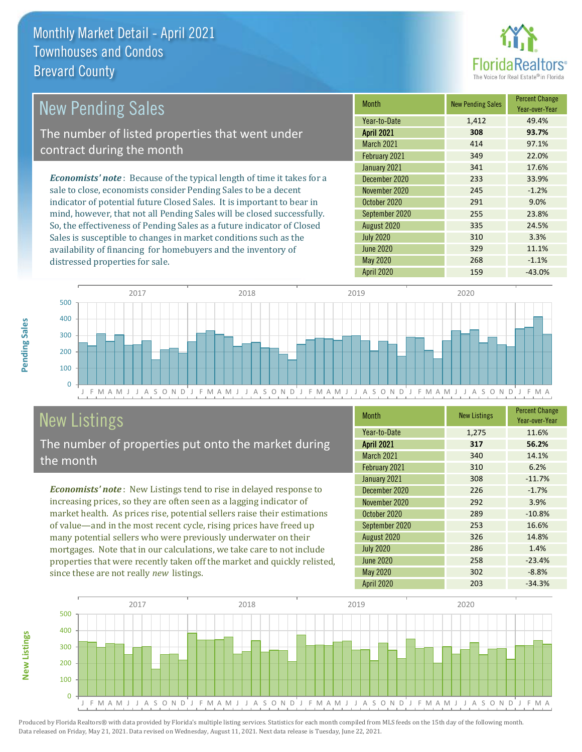distressed properties for sale.



| <b>New Pending Sales</b>                                                       | <b>Month</b>      | <b>New Pending Sales</b> | <b>Percent Change</b><br>Year-over-Year |
|--------------------------------------------------------------------------------|-------------------|--------------------------|-----------------------------------------|
|                                                                                | Year-to-Date      | 1,412                    | 49.4%                                   |
| The number of listed properties that went under                                | <b>April 2021</b> | 308                      | 93.7%                                   |
| contract during the month                                                      | <b>March 2021</b> | 414                      | 97.1%                                   |
|                                                                                | February 2021     | 349                      | 22.0%                                   |
|                                                                                | January 2021      | 341                      | 17.6%                                   |
| <b>Economists' note</b> : Because of the typical length of time it takes for a | December 2020     | 233                      | 33.9%                                   |
| sale to close, economists consider Pending Sales to be a decent                | November 2020     | 245                      | $-1.2%$                                 |
| indicator of potential future Closed Sales. It is important to bear in         | October 2020      | 291                      | 9.0%                                    |
| mind, however, that not all Pending Sales will be closed successfully.         | September 2020    | 255                      | 23.8%                                   |
| So, the effectiveness of Pending Sales as a future indicator of Closed         | August 2020       | 335                      | 24.5%                                   |
| Sales is susceptible to changes in market conditions such as the               | <b>July 2020</b>  | 310                      | 3.3%                                    |



# New Listings

The number of properties put onto the market during the month

availability of financing for homebuyers and the inventory of

*Economists' note* : New Listings tend to rise in delayed response to increasing prices, so they are often seen as a lagging indicator of market health. As prices rise, potential sellers raise their estimations of value—and in the most recent cycle, rising prices have freed up many potential sellers who were previously underwater on their mortgages. Note that in our calculations, we take care to not include properties that were recently taken off the market and quickly relisted, since these are not really *new* listings.

| <b>Month</b>      | <b>New Listings</b> | <b>Percent Change</b><br>Year-over-Year |
|-------------------|---------------------|-----------------------------------------|
| Year-to-Date      | 1,275               | 11.6%                                   |
| <b>April 2021</b> | 317                 | 56.2%                                   |
| <b>March 2021</b> | 340                 | 14.1%                                   |
| February 2021     | 310                 | 6.2%                                    |
| January 2021      | 308                 | $-11.7%$                                |
| December 2020     | 226                 | $-1.7%$                                 |
| November 2020     | 292                 | 3.9%                                    |
| October 2020      | 289                 | $-10.8%$                                |
| September 2020    | 253                 | 16.6%                                   |
| August 2020       | 326                 | 14.8%                                   |
| <b>July 2020</b>  | 286                 | 1.4%                                    |
| <b>June 2020</b>  | 258                 | $-23.4%$                                |
| <b>May 2020</b>   | 302                 | $-8.8%$                                 |
| April 2020        | 203                 | $-34.3%$                                |

June 2020 329 11.1% May 2020 268 -1.1%



**New Listings**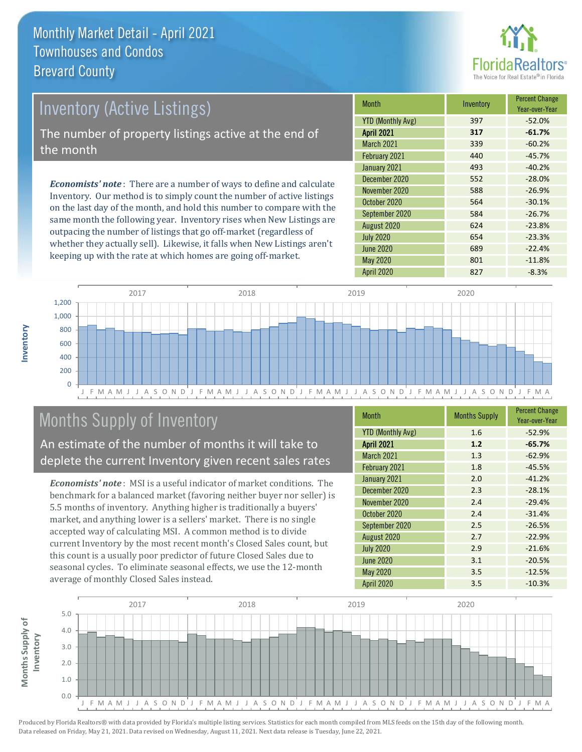

# Inventory (Active Listings) The number of property listings active at the end of the month

*Economists' note* : There are a number of ways to define and calculate Inventory. Our method is to simply count the number of active listings on the last day of the month, and hold this number to compare with the same month the following year. Inventory rises when New Listings are outpacing the number of listings that go off-market (regardless of whether they actually sell). Likewise, it falls when New Listings aren't keeping up with the rate at which homes are going off-market.

| <b>Month</b>             | Inventory | <b>Percent Change</b><br>Year-over-Year |
|--------------------------|-----------|-----------------------------------------|
| <b>YTD (Monthly Avg)</b> | 397       | $-52.0%$                                |
| <b>April 2021</b>        | 317       | $-61.7%$                                |
| <b>March 2021</b>        | 339       | $-60.2%$                                |
| February 2021            | 440       | $-45.7%$                                |
| January 2021             | 493       | $-40.2%$                                |
| December 2020            | 552       | $-28.0%$                                |
| November 2020            | 588       | $-26.9%$                                |
| October 2020             | 564       | $-30.1%$                                |
| September 2020           | 584       | $-26.7%$                                |
| August 2020              | 624       | $-23.8%$                                |
| <b>July 2020</b>         | 654       | $-23.3%$                                |
| <b>June 2020</b>         | 689       | $-22.4%$                                |
| <b>May 2020</b>          | 801       | $-11.8%$                                |
| <b>April 2020</b>        | 827       | $-8.3%$                                 |



# Months Supply of Inventory

An estimate of the number of months it will take to deplete the current Inventory given recent sales rates

*Economists' note* : MSI is a useful indicator of market conditions. The benchmark for a balanced market (favoring neither buyer nor seller) is 5.5 months of inventory. Anything higher is traditionally a buyers' market, and anything lower is a sellers' market. There is no single accepted way of calculating MSI. A common method is to divide current Inventory by the most recent month's Closed Sales count, but this count is a usually poor predictor of future Closed Sales due to seasonal cycles. To eliminate seasonal effects, we use the 12-month average of monthly Closed Sales instead.

| <b>Month</b>             | <b>Months Supply</b> | <b>Percent Change</b><br>Year-over-Year |
|--------------------------|----------------------|-----------------------------------------|
| <b>YTD (Monthly Avg)</b> | 1.6                  | $-52.9%$                                |
| <b>April 2021</b>        | 1.2                  | $-65.7%$                                |
| March 2021               | 1.3                  | $-62.9%$                                |
| February 2021            | 1.8                  | $-45.5%$                                |
| January 2021             | 2.0                  | $-41.2%$                                |
| December 2020            | 2.3                  | $-28.1%$                                |
| November 2020            | 2.4                  | $-29.4%$                                |
| October 2020             | 2.4                  | $-31.4%$                                |
| September 2020           | 2.5                  | $-26.5%$                                |
| August 2020              | 2.7                  | $-22.9%$                                |
| <b>July 2020</b>         | 2.9                  | $-21.6%$                                |
| <b>June 2020</b>         | 3.1                  | $-20.5%$                                |
| <b>May 2020</b>          | 3.5                  | $-12.5%$                                |
| April 2020               | 3.5                  | $-10.3%$                                |

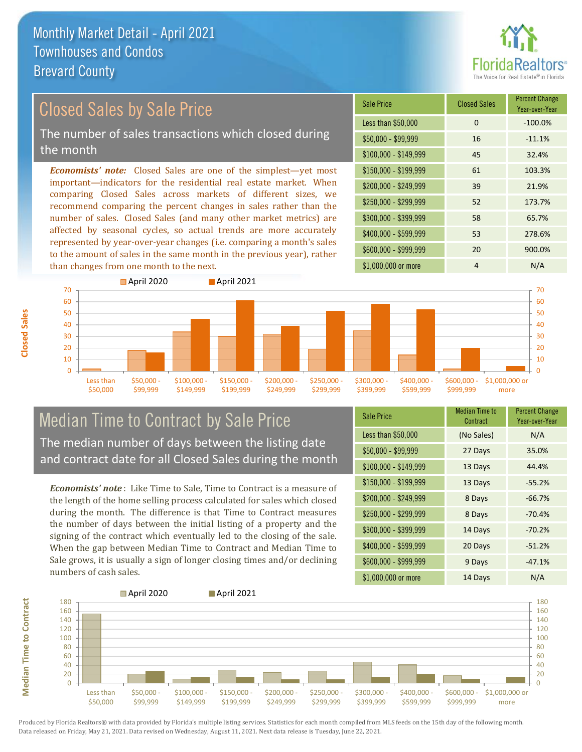than changes from one month to the next.



#### *Economists' note:* Closed Sales are one of the simplest—yet most important—indicators for the residential real estate market. When comparing Closed Sales across markets of different sizes, we recommend comparing the percent changes in sales rather than the number of sales. Closed Sales (and many other market metrics) are affected by seasonal cycles, so actual trends are more accurately represented by year-over-year changes (i.e. comparing a month's sales to the amount of sales in the same month in the previous year), rather \$1,000,000 or more 4 N/A \$250,000 - \$299,999 52 173.7% \$300,000 - \$399,999 58 65.7% \$400,000 - \$599,999 53 278.6% \$600,000 - \$999,999 20 900.0% \$150,000 - \$199,999 61 103.3% \$200,000 - \$249,999 39 21.9% \$100,000 - \$149,999 45 32.4% Sale Price Closed Sales Percent Change Year-over-Year Less than \$50,000 0 0 -100.0%  $$50,000 - $99,999$  16  $-11.1\%$ Closed Sales by Sale Price The number of sales transactions which closed during the month



#### Median Time to Contract by Sale Price The median number of days between the listing date and contract date for all Closed Sales during the month

*Economists' note* : Like Time to Sale, Time to Contract is a measure of the length of the home selling process calculated for sales which closed during the month. The difference is that Time to Contract measures the number of days between the initial listing of a property and the signing of the contract which eventually led to the closing of the sale. When the gap between Median Time to Contract and Median Time to Sale grows, it is usually a sign of longer closing times and/or declining numbers of cash sales.

| <b>Sale Price</b>     | Median Time to<br>Contract | <b>Percent Change</b><br>Year-over-Year |
|-----------------------|----------------------------|-----------------------------------------|
| Less than \$50,000    | (No Sales)                 | N/A                                     |
| $$50,000 - $99,999$   | 27 Days                    | 35.0%                                   |
| $$100,000 - $149,999$ | 13 Days                    | 44.4%                                   |
| \$150,000 - \$199,999 | 13 Days                    | $-55.2%$                                |
| \$200,000 - \$249,999 | 8 Days                     | $-66.7%$                                |
| \$250,000 - \$299,999 | 8 Days                     | $-70.4%$                                |
| \$300,000 - \$399,999 | 14 Days                    | $-70.2%$                                |
| \$400,000 - \$599,999 | 20 Days                    | $-51.2%$                                |
| \$600,000 - \$999,999 | 9 Days                     | $-47.1%$                                |
| \$1,000,000 or more   | 14 Days                    | N/A                                     |

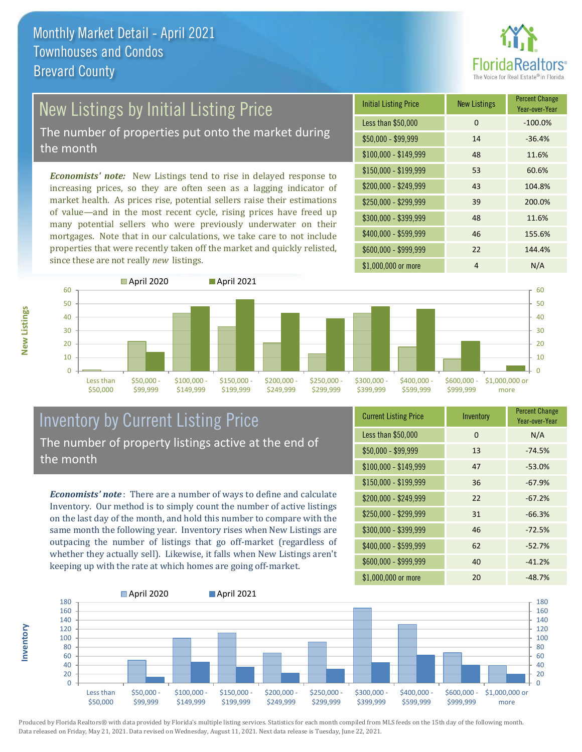

# New Listings by Initial Listing Price

The number of properties put onto the market during the month

*Economists' note:* New Listings tend to rise in delayed response to increasing prices, so they are often seen as a lagging indicator of market health. As prices rise, potential sellers raise their estimations of value—and in the most recent cycle, rising prices have freed up many potential sellers who were previously underwater on their mortgages. Note that in our calculations, we take care to not include properties that were recently taken off the market and quickly relisted, since these are not really *new* listings.

| <b>Initial Listing Price</b> | <b>New Listings</b> | <b>Percent Change</b><br>Year-over-Year |
|------------------------------|---------------------|-----------------------------------------|
| Less than \$50,000           | 0                   | $-100.0%$                               |
| $$50,000 - $99,999$          | 14                  | $-36.4%$                                |
| $$100,000 - $149,999$        | 48                  | 11.6%                                   |
| $$150,000 - $199,999$        | 53                  | 60.6%                                   |
| \$200,000 - \$249,999        | 43                  | 104.8%                                  |
| \$250,000 - \$299,999        | 39                  | 200.0%                                  |
| \$300,000 - \$399,999        | 48                  | 11.6%                                   |
| \$400,000 - \$599,999        | 46                  | 155.6%                                  |
| \$600,000 - \$999,999        | 22                  | 144.4%                                  |
| \$1,000,000 or more          | 4                   | N/A                                     |



#### Inventory by Current Listing Price The number of property listings active at the end of the month

*Economists' note* : There are a number of ways to define and calculate Inventory. Our method is to simply count the number of active listings on the last day of the month, and hold this number to compare with the same month the following year. Inventory rises when New Listings are outpacing the number of listings that go off-market (regardless of whether they actually sell). Likewise, it falls when New Listings aren't keeping up with the rate at which homes are going off-market.

| <b>Current Listing Price</b> | Inventory | <b>Percent Change</b><br>Year-over-Year |
|------------------------------|-----------|-----------------------------------------|
| Less than \$50,000           | 0         | N/A                                     |
| \$50,000 - \$99,999          | 13        | $-74.5%$                                |
| $$100,000 - $149,999$        | 47        | $-53.0%$                                |
| $$150,000 - $199,999$        | 36        | $-67.9%$                                |
| \$200,000 - \$249,999        | 22        | $-67.2%$                                |
| \$250,000 - \$299,999        | 31        | $-66.3%$                                |
| \$300,000 - \$399,999        | 46        | $-72.5%$                                |
| \$400,000 - \$599,999        | 62        | $-52.7%$                                |
| \$600,000 - \$999,999        | 40        | $-41.2%$                                |
| \$1,000,000 or more          | 20        | $-48.7%$                                |



Produced by Florida Realtors® with data provided by Florida's multiple listing services. Statistics for each month compiled from MLS feeds on the 15th day of the following month. Data released on Friday, May 21, 2021. Data revised on Wednesday, August 11, 2021. Next data release is Tuesday, June 22, 2021.

**Inventory**